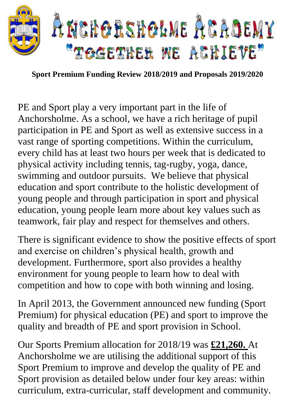

**Sport Premium Funding Review 2018/2019 and Proposals 2019/2020**

PE and Sport play a very important part in the life of Anchorsholme. As a school, we have a rich heritage of pupil participation in PE and Sport as well as extensive success in a vast range of sporting competitions. Within the curriculum, every child has at least two hours per week that is dedicated to physical activity including tennis, tag-rugby, yoga, dance, swimming and outdoor pursuits. We believe that physical education and sport contribute to the holistic development of young people and through participation in sport and physical education, young people learn more about key values such as teamwork, fair play and respect for themselves and others.

There is significant evidence to show the positive effects of sport and exercise on children's physical health, growth and development. Furthermore, sport also provides a healthy environment for young people to learn how to deal with competition and how to cope with both winning and losing.

In April 2013, the Government announced new funding (Sport Premium) for physical education (PE) and sport to improve the quality and breadth of PE and sport provision in School.

Our Sports Premium allocation for 2018/19 was **£21,260.** At Anchorsholme we are utilising the additional support of this Sport Premium to improve and develop the quality of PE and Sport provision as detailed below under four key areas: within curriculum, extra-curricular, staff development and community.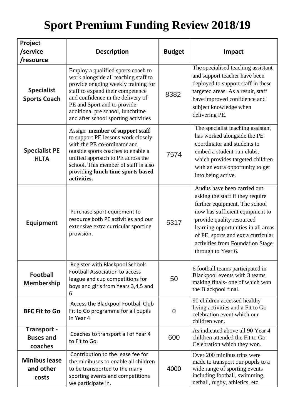## **Sport Premium Funding Review 2018/19**

| Project<br>/service<br>/resource                  | <b>Description</b>                                                                                                                                                                                                                                                                                    | <b>Budget</b> | Impact                                                                                                                                                                                                                                                                                                   |
|---------------------------------------------------|-------------------------------------------------------------------------------------------------------------------------------------------------------------------------------------------------------------------------------------------------------------------------------------------------------|---------------|----------------------------------------------------------------------------------------------------------------------------------------------------------------------------------------------------------------------------------------------------------------------------------------------------------|
| <b>Specialist</b><br><b>Sports Coach</b>          | Employ a qualified sports coach to<br>work alongside all teaching staff to<br>provide ongoing weekly training for<br>staff to expand their competence<br>and confidence in the delivery of<br>PE and Sport and to provide<br>additional pre school, lunchtime<br>and after school sporting activities | 8382          | The specialised teaching assistant<br>and support teacher have been<br>deployed to support staff in these<br>targeted areas. As a result, staff<br>have improved confidence and<br>subject knowledge when<br>delivering PE.                                                                              |
| <b>Specialist PE</b><br><b>HLTA</b>               | Assign member of support staff<br>to support PE lessons work closely<br>with the PE co-ordinator and<br>outside sports coaches to enable a<br>unified approach to PE across the<br>school. This member of staff is also<br>providing lunch time sports based<br>activities.                           | 7574          | The specialist teaching assistant<br>has worked alongside the PE<br>coordinator and students to<br>embed a student-run clubs,<br>which provides targeted children<br>with an extra opportunity to get<br>into being active.                                                                              |
| <b>Equipment</b>                                  | Purchase sport equipment to<br>resource both PE activities and our<br>extensive extra curricular sporting<br>provision.                                                                                                                                                                               | 5317          | Audits have been carried out<br>asking the staff if they require<br>further equipment. The school<br>now has sufficient equipment to<br>provide quality resourced<br>learning opportunities in all areas<br>of PE, sports and extra curricular<br>activities from Foundation Stage<br>through to Year 6. |
| <b>Football</b><br><b>Membership</b>              | Register with Blackpool Schools<br><b>Football Association to access</b><br>league and cup competitions for<br>boys and girls from Years 3,4,5 and<br>6                                                                                                                                               | 50            | 6 football teams participated in<br>Blackpool events with 3 teams<br>making finals- one of which won<br>the Blackpool final.                                                                                                                                                                             |
| <b>BFC Fit to Go</b>                              | Access the Blackpool Football Club<br>Fit to Go programme for all pupils<br>in Year 4                                                                                                                                                                                                                 | 0             | 90 children accessed healthy<br>living activities and a Fit to Go<br>celebration event which our<br>children won.                                                                                                                                                                                        |
| <b>Transport -</b><br><b>Buses and</b><br>coaches | Coaches to transport all of Year 4<br>to Fit to Go.                                                                                                                                                                                                                                                   | 600           | As indicated above all 90 Year 4<br>children attended the Fit to Go<br>Celebration which they won.                                                                                                                                                                                                       |
| <b>Minibus lease</b><br>and other<br>costs        | Contribution to the lease fee for<br>the minibuses to enable all children<br>to be transported to the many<br>sporting events and competitions<br>we participate in.                                                                                                                                  | 4000          | Over 200 minibus trips were<br>made to transport our pupils to a<br>wide range of sporting events<br>including football, swimming,<br>netball, rugby, athletics, etc.                                                                                                                                    |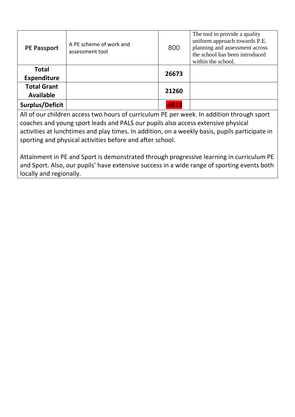| <b>PE Passport</b>                     | A PE scheme of work and<br>assessment tool | 800     | The tool to provide a quality<br>uniform approach towards P.E.<br>planning and assessment across<br>the school has been introduced<br>within the school. |
|----------------------------------------|--------------------------------------------|---------|----------------------------------------------------------------------------------------------------------------------------------------------------------|
| <b>Total</b><br><b>Expenditure</b>     |                                            | 26673   |                                                                                                                                                          |
| <b>Total Grant</b><br><b>Available</b> |                                            | 21260   |                                                                                                                                                          |
| Surplus/Deficit                        |                                            | $-6013$ |                                                                                                                                                          |

All of our children access two hours of curriculum PE per week. In addition through sport coaches and young sport leads and PALS our pupils also access extensive physical activities at lunchtimes and play times. In addition, on a weekly basis, pupils participate in sporting and physical activities before and after school.

Attainment in PE and Sport is demonstrated through progressive learning in curriculum PE and Sport. Also, our pupils' have extensive success in a wide range of sporting events both locally and regionally.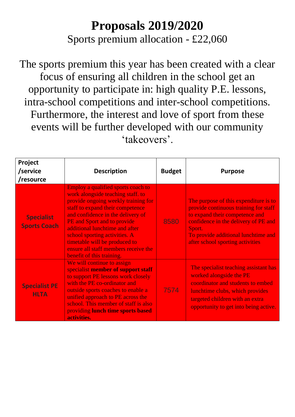## **Proposals 2019/2020**

Sports premium allocation - £22,060

The sports premium this year has been created with a clear focus of ensuring all children in the school get an opportunity to participate in: high quality P.E. lessons, intra-school competitions and inter-school competitions. Furthermore, the interest and love of sport from these events will be further developed with our community 'takeovers'.

| Project<br>/service<br>/resource         | <b>Description</b>                                                                                                                                                                                                                                                                                                                                                                              | <b>Budget</b> | <b>Purpose</b>                                                                                                                                                                                                                                |
|------------------------------------------|-------------------------------------------------------------------------------------------------------------------------------------------------------------------------------------------------------------------------------------------------------------------------------------------------------------------------------------------------------------------------------------------------|---------------|-----------------------------------------------------------------------------------------------------------------------------------------------------------------------------------------------------------------------------------------------|
| <b>Specialist</b><br><b>Sports Coach</b> | Employ a qualified sports coach to<br>work alongside teaching staff. to<br>provide ongoing weekly training for<br>staff to expand their competence<br>and confidence in the delivery of<br>PE and Sport and to provide<br>additional lunchtime and after<br>school sporting activities. A<br>timetable will be produced to<br>ensure all staff members receive the<br>benefit of this training. | 8580          | The purpose of this expenditure is to<br>provide continuous training for staff<br>to expand their competence and<br>confidence in the delivery of PE and<br>Sport.<br>To provide additional lunchtime and<br>after school sporting activities |
| <b>Specialist PE</b><br><b>HLTA</b>      | We will continue to assign<br>specialist member of support staff<br>to support PE lessons work closely<br>with the PE co-ordinator and<br>outside sports coaches to enable a<br>unified approach to PE across the<br>school. This member of staff is also<br>providing lunch time sports based<br>activities.                                                                                   | 7574          | The specialist teaching assistant has<br>worked alongside the PE<br>coordinator and students to embed<br>lunchtime clubs, which provides<br>targeted children with an extra<br>opportunity to get into being active.                          |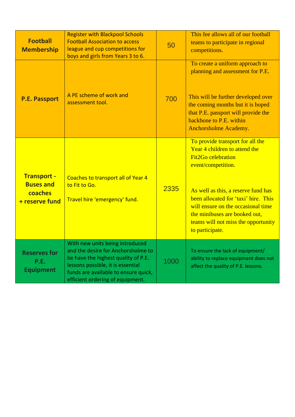| <b>Football</b><br><b>Membership</b>                                | <b>Register with Blackpool Schools</b><br><b>Football Association to access</b><br>league and cup competitions for<br>boys and girls from Years 3 to 6.                                                                       | 50   | This fee allows all of our football<br>teams to participate in regional<br>competitions.                                                                                                                                                                                                                                             |
|---------------------------------------------------------------------|-------------------------------------------------------------------------------------------------------------------------------------------------------------------------------------------------------------------------------|------|--------------------------------------------------------------------------------------------------------------------------------------------------------------------------------------------------------------------------------------------------------------------------------------------------------------------------------------|
| <b>P.E. Passport</b>                                                | A PE scheme of work and<br>assessment tool.                                                                                                                                                                                   | 700  | To create a uniform approach to<br>planning and assessment for P.E.<br>This will be further developed over<br>the coming months but it is hoped<br>that P.E. passport will provide the<br>backbone to P.E. within<br>Anchorsholme Academy.                                                                                           |
| <b>Transport -</b><br><b>Buses and</b><br>coaches<br>+ reserve fund | Coaches to transport all of Year 4<br>to Fit to Go.<br>Travel hire 'emergency' fund.                                                                                                                                          | 2335 | To provide transport for all the<br>Year 4 children to attend the<br><b>Fit2Go celebration</b><br>event/competition.<br>As well as this, a reserve fund has<br>been allocated for 'taxi' hire. This<br>will ensure on the occasional time<br>the minibuses are booked out,<br>teams will not miss the opportunity<br>to participate. |
| <b>Reserves for</b><br>P.E.<br><b>Equipment</b>                     | With new units being introduced<br>and the desire for Anchorsholme to<br>be have the highest quality of P.E.<br>lessons possible, it is essential<br>funds are available to ensure quick,<br>efficient ordering of equipment. | 1000 | To ensure the lack of equipment/<br>ability to replace equipment does not<br>affect the quality of P.E. lessons.                                                                                                                                                                                                                     |